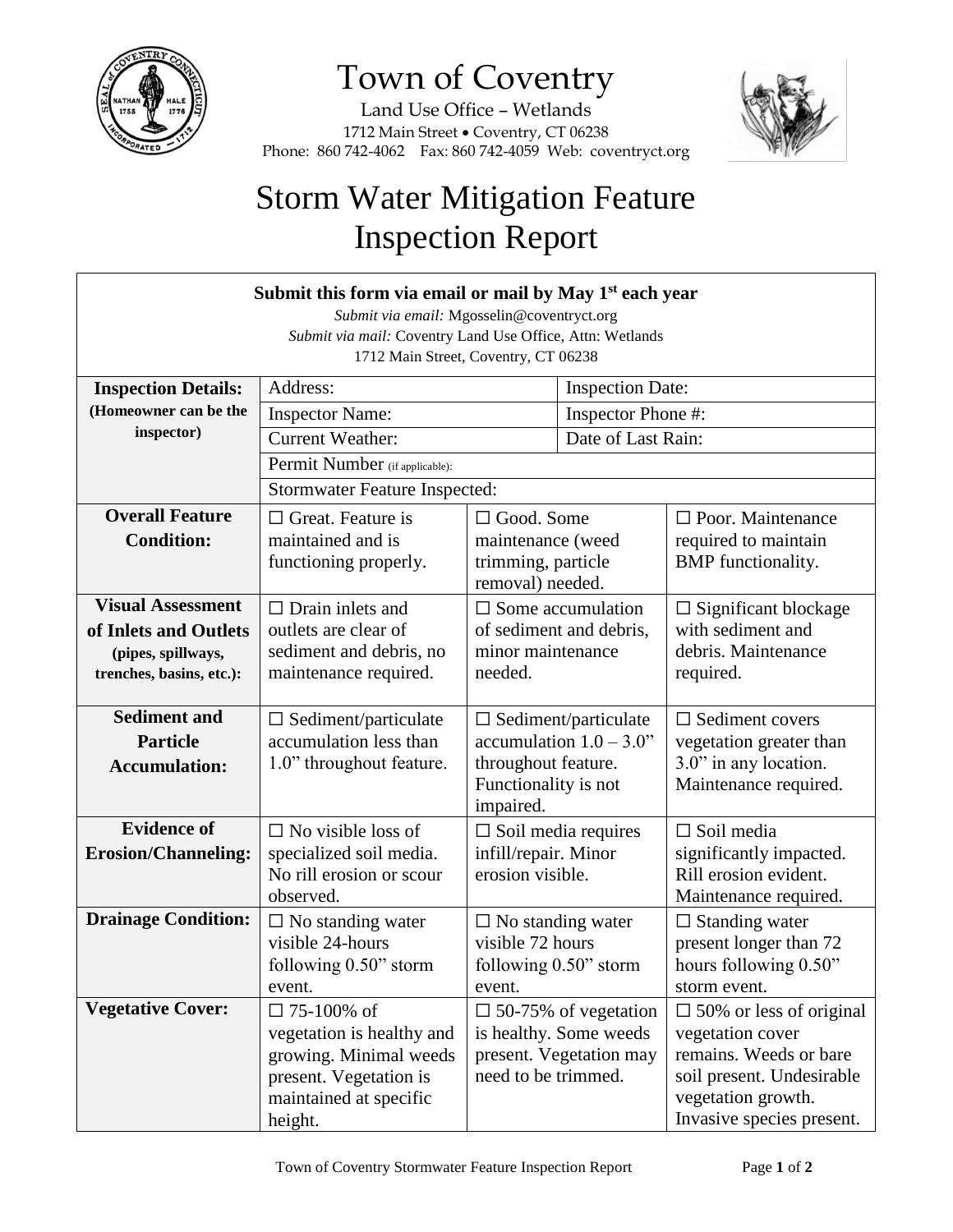

## Town of Coventry

Land Use Office – Wetlands 1712 Main Street . Coventry, CT 06238 Phone: 860 742-4062 Fax: 860 742-4059 Web: coventryct.org



## Storm Water Mitigation Feature Inspection Report

| Submit this form via email or mail by May 1 <sup>st</sup> each year<br>Submit via email: Mgosselin@coventryct.org<br>Submit via mail: Coventry Land Use Office, Attn: Wetlands<br>1712 Main Street, Coventry, CT 06238 |                                                                                                                                         |                                                                                                                       |                         |                                                                                                                                                              |
|------------------------------------------------------------------------------------------------------------------------------------------------------------------------------------------------------------------------|-----------------------------------------------------------------------------------------------------------------------------------------|-----------------------------------------------------------------------------------------------------------------------|-------------------------|--------------------------------------------------------------------------------------------------------------------------------------------------------------|
| <b>Inspection Details:</b>                                                                                                                                                                                             | Address:                                                                                                                                |                                                                                                                       | <b>Inspection Date:</b> |                                                                                                                                                              |
| (Homeowner can be the                                                                                                                                                                                                  | <b>Inspector Name:</b>                                                                                                                  |                                                                                                                       | Inspector Phone #:      |                                                                                                                                                              |
| inspector)                                                                                                                                                                                                             | <b>Current Weather:</b>                                                                                                                 |                                                                                                                       | Date of Last Rain:      |                                                                                                                                                              |
|                                                                                                                                                                                                                        | Permit Number (if applicable):                                                                                                          |                                                                                                                       |                         |                                                                                                                                                              |
|                                                                                                                                                                                                                        | <b>Stormwater Feature Inspected:</b>                                                                                                    |                                                                                                                       |                         |                                                                                                                                                              |
| <b>Overall Feature</b><br><b>Condition:</b>                                                                                                                                                                            | $\Box$ Great. Feature is<br>maintained and is<br>functioning properly.                                                                  | $\Box$ Good. Some<br>maintenance (weed<br>trimming, particle<br>removal) needed.                                      |                         | $\Box$ Poor. Maintenance<br>required to maintain<br><b>BMP</b> functionality.                                                                                |
| <b>Visual Assessment</b><br>of Inlets and Outlets<br>(pipes, spillways,<br>trenches, basins, etc.):                                                                                                                    | $\Box$ Drain inlets and<br>outlets are clear of<br>sediment and debris, no<br>maintenance required.                                     | $\square$ Some accumulation<br>of sediment and debris,<br>minor maintenance<br>needed.                                |                         | $\Box$ Significant blockage<br>with sediment and<br>debris. Maintenance<br>required.                                                                         |
| <b>Sediment and</b><br><b>Particle</b><br><b>Accumulation:</b>                                                                                                                                                         | $\Box$ Sediment/particulate<br>accumulation less than<br>1.0" throughout feature.                                                       | $\Box$ Sediment/particulate<br>accumulation $1.0 - 3.0$ "<br>throughout feature.<br>Functionality is not<br>impaired. |                         | $\Box$ Sediment covers<br>vegetation greater than<br>3.0" in any location.<br>Maintenance required.                                                          |
| <b>Evidence of</b><br><b>Erosion/Channeling:</b>                                                                                                                                                                       | $\Box$ No visible loss of<br>specialized soil media.<br>No rill erosion or scour<br>observed.                                           | $\Box$ Soil media requires<br>infill/repair. Minor<br>erosion visible.                                                |                         | $\Box$ Soil media<br>significantly impacted.<br>Rill erosion evident.<br>Maintenance required.                                                               |
| <b>Drainage Condition:</b>                                                                                                                                                                                             | $\Box$ No standing water<br>visible 24-hours<br>following 0.50" storm<br>event.                                                         | $\Box$ No standing water<br>visible 72 hours<br>following 0.50" storm<br>event.                                       |                         | $\Box$ Standing water<br>present longer than 72<br>hours following 0.50"<br>storm event.                                                                     |
| <b>Vegetative Cover:</b>                                                                                                                                                                                               | $\Box$ 75-100% of<br>vegetation is healthy and<br>growing. Minimal weeds<br>present. Vegetation is<br>maintained at specific<br>height. | $\Box$ 50-75% of vegetation<br>is healthy. Some weeds<br>present. Vegetation may<br>need to be trimmed.               |                         | $\Box$ 50% or less of original<br>vegetation cover<br>remains. Weeds or bare<br>soil present. Undesirable<br>vegetation growth.<br>Invasive species present. |